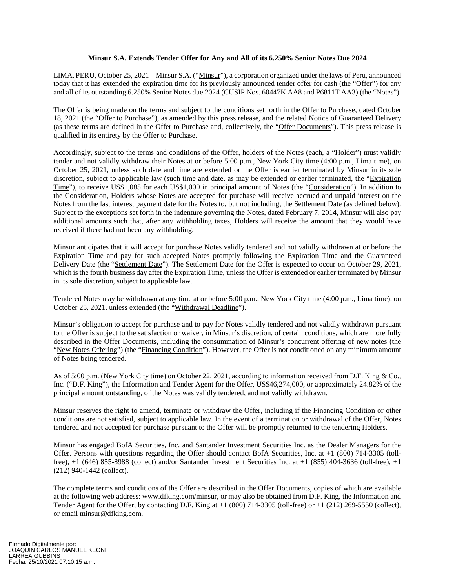## **Minsur S.A. Extends Tender Offer for Any and All of its 6.250% Senior Notes Due 2024**

LIMA, PERU, October 25, 2021 – Minsur S.A. ("Minsur"), a corporation organized under the laws of Peru, announced today that it has extended the expiration time for its previously announced tender offer for cash (the "Offer") for any and all of its outstanding 6.250% Senior Notes due 2024 (CUSIP Nos. 60447K AA8 and P6811T AA3) (the "Notes").

The Offer is being made on the terms and subject to the conditions set forth in the Offer to Purchase, dated October 18, 2021 (the "Offer to Purchase"), as amended by this press release, and the related Notice of Guaranteed Delivery (as these terms are defined in the Offer to Purchase and, collectively, the "Offer Documents"). This press release is qualified in its entirety by the Offer to Purchase.

Accordingly, subject to the terms and conditions of the Offer, holders of the Notes (each, a "Holder") must validly tender and not validly withdraw their Notes at or before 5:00 p.m., New York City time (4:00 p.m., Lima time), on October 25, 2021, unless such date and time are extended or the Offer is earlier terminated by Minsur in its sole discretion, subject to applicable law (such time and date, as may be extended or earlier terminated, the "Expiration Time"), to receive US\$1,085 for each US\$1,000 in principal amount of Notes (the "Consideration"). In addition to the Consideration, Holders whose Notes are accepted for purchase will receive accrued and unpaid interest on the Notes from the last interest payment date for the Notes to, but not including, the Settlement Date (as defined below). Subject to the exceptions set forth in the indenture governing the Notes, dated February 7, 2014, Minsur will also pay additional amounts such that, after any withholding taxes, Holders will receive the amount that they would have received if there had not been any withholding.

Minsur anticipates that it will accept for purchase Notes validly tendered and not validly withdrawn at or before the Expiration Time and pay for such accepted Notes promptly following the Expiration Time and the Guaranteed Delivery Date (the "Settlement Date"). The Settlement Date for the Offer is expected to occur on October 29, 2021, which is the fourth business day after the Expiration Time, unless the Offer is extended or earlier terminated by Minsur in its sole discretion, subject to applicable law.

Tendered Notes may be withdrawn at any time at or before 5:00 p.m., New York City time (4:00 p.m., Lima time), on October 25, 2021, unless extended (the "Withdrawal Deadline").

Minsur's obligation to accept for purchase and to pay for Notes validly tendered and not validly withdrawn pursuant to the Offer is subject to the satisfaction or waiver, in Minsur's discretion, of certain conditions, which are more fully described in the Offer Documents, including the consummation of Minsur's concurrent offering of new notes (the "New Notes Offering") (the "Financing Condition"). However, the Offer is not conditioned on any minimum amount of Notes being tendered.

As of 5:00 p.m. (New York City time) on October 22, 2021, according to information received from D.F. King & Co., Inc. ("D.F. King"), the Information and Tender Agent for the Offer, US\$46,274,000, or approximately 24.82% of the principal amount outstanding, of the Notes was validly tendered, and not validly withdrawn.

Minsur reserves the right to amend, terminate or withdraw the Offer, including if the Financing Condition or other conditions are not satisfied, subject to applicable law. In the event of a termination or withdrawal of the Offer, Notes tendered and not accepted for purchase pursuant to the Offer will be promptly returned to the tendering Holders.

Minsur has engaged BofA Securities, Inc. and Santander Investment Securities Inc. as the Dealer Managers for the Offer. Persons with questions regarding the Offer should contact BofA Securities, Inc. at +1 (800) 714-3305 (tollfree), +1 (646) 855-8988 (collect) and/or Santander Investment Securities Inc. at +1 (855) 404-3636 (toll-free), +1 (212) 940-1442 (collect).

The complete terms and conditions of the Offer are described in the Offer Documents, copies of which are available at the following web address: www.dfking.com/minsur, or may also be obtained from D.F. King, the Information and Tender Agent for the Offer, by contacting D.F. King at +1 (800) 714-3305 (toll-free) or +1 (212) 269-5550 (collect), or email minsur@dfking.com.